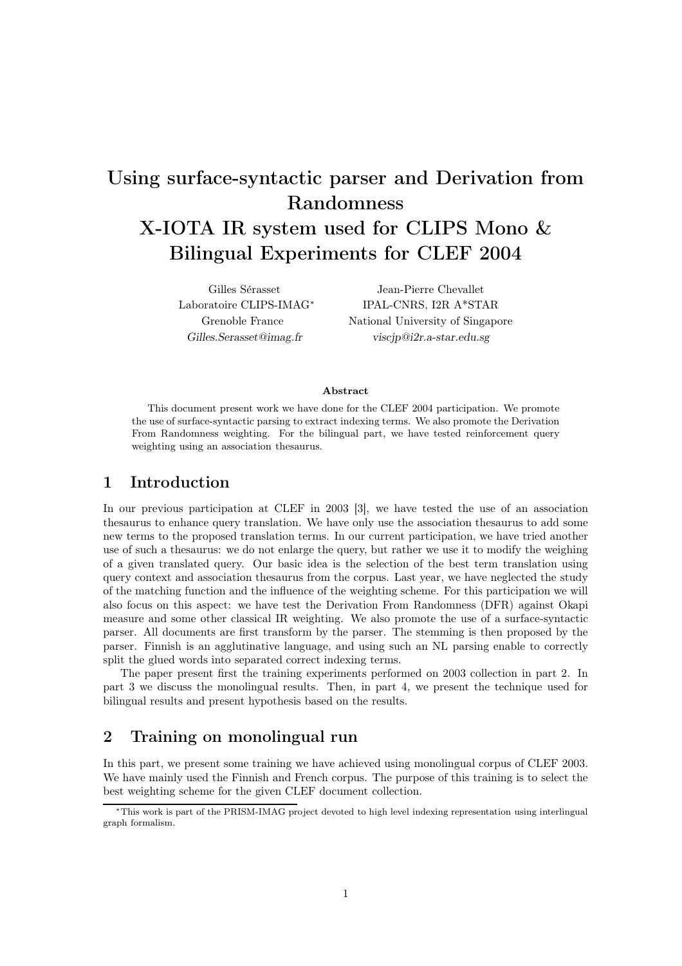# Using surface-syntactic parser and Derivation from Randomness X-IOTA IR system used for CLIPS Mono & Bilingual Experiments for CLEF 2004

Gilles Sérasset Laboratoire CLIPS-IMAG<sup>∗</sup> Grenoble France *Gilles.Serasset@imag.fr*

Jean-Pierre Chevallet IPAL-CNRS, I2R A\*STAR National University of Singapore *viscjp@i2r.a-star.edu.sg*

#### Abstract

This document present work we have done for the CLEF 2004 participation. We promote the use of surface-syntactic parsing to extract indexing terms. We also promote the Derivation From Randomness weighting. For the bilingual part, we have tested reinforcement query weighting using an association thesaurus.

# 1 Introduction

In our previous participation at CLEF in 2003 [3], we have tested the use of an association thesaurus to enhance query translation. We have only use the association thesaurus to add some new terms to the proposed translation terms. In our current participation, we have tried another use of such a thesaurus: we do not enlarge the query, but rather we use it to modify the weighing of a given translated query. Our basic idea is the selection of the best term translation using query context and association thesaurus from the corpus. Last year, we have neglected the study of the matching function and the influence of the weighting scheme. For this participation we will also focus on this aspect: we have test the Derivation From Randomness (DFR) against Okapi measure and some other classical IR weighting. We also promote the use of a surface-syntactic parser. All documents are first transform by the parser. The stemming is then proposed by the parser. Finnish is an agglutinative language, and using such an NL parsing enable to correctly split the glued words into separated correct indexing terms.

The paper present first the training experiments performed on 2003 collection in part 2. In part 3 we discuss the monolingual results. Then, in part 4, we present the technique used for bilingual results and present hypothesis based on the results.

# 2 Training on monolingual run

In this part, we present some training we have achieved using monolingual corpus of CLEF 2003. We have mainly used the Finnish and French corpus. The purpose of this training is to select the best weighting scheme for the given CLEF document collection.

<sup>∗</sup>This work is part of the PRISM-IMAG project devoted to high level indexing representation using interlingual graph formalism.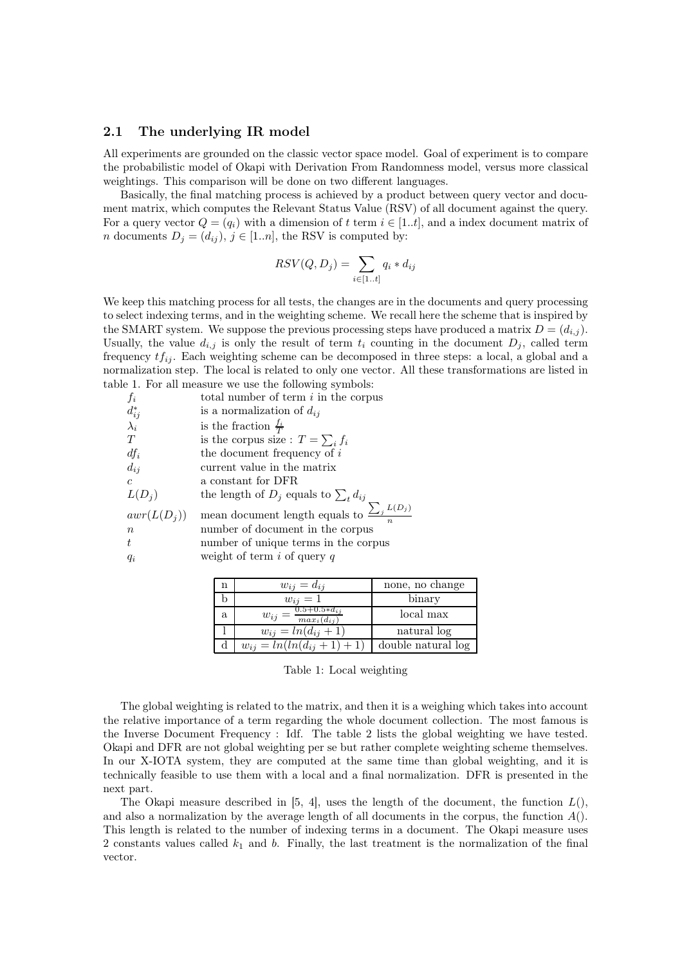### 2.1 The underlying IR model

All experiments are grounded on the classic vector space model. Goal of experiment is to compare the probabilistic model of Okapi with Derivation From Randomness model, versus more classical weightings. This comparison will be done on two different languages.

Basically, the final matching process is achieved by a product between query vector and document matrix, which computes the Relevant Status Value (RSV) of all document against the query. For a query vector  $Q = (q_i)$  with a dimension of t term  $i \in [1..t]$ , and a index document matrix of *n* documents  $D_j = (d_{ij}), j \in [1..n]$ , the RSV is computed by:

$$
RSV(Q, D_j) = \sum_{i \in [1..t]} q_i * d_{ij}
$$

We keep this matching process for all tests, the changes are in the documents and query processing to select indexing terms, and in the weighting scheme. We recall here the scheme that is inspired by the SMART system. We suppose the previous processing steps have produced a matrix  $D = (d_{i,j})$ . Usually, the value  $d_{i,j}$  is only the result of term  $t_i$  counting in the document  $D_j$ , called term frequency tf*ij* . Each weighting scheme can be decomposed in three steps: a local, a global and a normalization step. The local is related to only one vector. All these transformations are listed in table 1. For all measure we use the following symbols:

| $f_i$                                            | total number of term $i$ in the corpus                                                                                                                                       |
|--------------------------------------------------|------------------------------------------------------------------------------------------------------------------------------------------------------------------------------|
| $d_{ij}^* \atop \lambda_i$                       | is a normalization of $d_{ij}$                                                                                                                                               |
|                                                  | is the fraction $\frac{f_i}{T}$                                                                                                                                              |
| T                                                | is the corpus size : $T = \sum_i f_i$                                                                                                                                        |
| $df_i$                                           | the document frequency of $i$                                                                                                                                                |
| $d_{ij}$                                         | current value in the matrix                                                                                                                                                  |
| $\mathcal{C}$                                    | a constant for DFR                                                                                                                                                           |
| $L(D_i)$                                         | the length of $D_j$ equals to $\sum_t d_{ij}$                                                                                                                                |
| $awr(L(D_i))$<br>$\boldsymbol{n}$<br>t.<br>$q_i$ | mean document length equals to $\frac{\sum_j L(D_j)}{\sigma}$<br>number of document in the corpus<br>number of unique terms in the corpus<br>weight of term $i$ of query $q$ |
|                                                  |                                                                                                                                                                              |

|   | $w_{ij} = d_{ij}$                                   | none, no change    |
|---|-----------------------------------------------------|--------------------|
|   | $w_{ij}=1$                                          | binary             |
| a | $w_{ij} = \frac{0.5 + 0.5 * d_{ij}}{max_i(d_{ij})}$ | local max          |
|   | $w_{ij} = ln(d_{ij} + 1)$                           | natural log        |
|   | $w_{ij} = ln(ln(d_{ij} + 1) + 1)$                   | double natural log |
|   |                                                     |                    |

Table 1: Local weighting

The global weighting is related to the matrix, and then it is a weighing which takes into account the relative importance of a term regarding the whole document collection. The most famous is the Inverse Document Frequency : Idf. The table 2 lists the global weighting we have tested. Okapi and DFR are not global weighting per se but rather complete weighting scheme themselves. In our X-IOTA system, they are computed at the same time than global weighting, and it is technically feasible to use them with a local and a final normalization. DFR is presented in the next part.

The Okapi measure described in [5, 4], uses the length of the document, the function  $L()$ , and also a normalization by the average length of all documents in the corpus, the function  $A()$ . This length is related to the number of indexing terms in a document. The Okapi measure uses 2 constants values called  $k_1$  and b. Finally, the last treatment is the normalization of the final vector.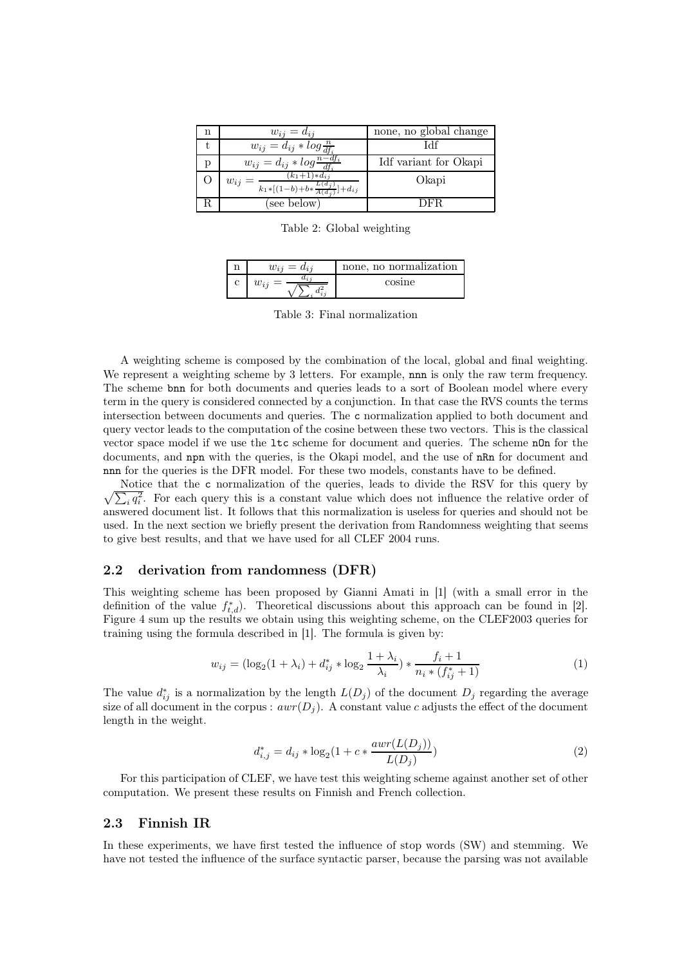| n | $w_{ij} = d_{ij}$                                                                                 | none, no global change |
|---|---------------------------------------------------------------------------------------------------|------------------------|
|   | $w_{ij} = d_{ij} * log \frac{n}{df_i}$                                                            | 14ŧ                    |
|   | $w_{ij} = d_{ij} * log \frac{n - df_i}{df_i}$                                                     | Idf variant for Okapi  |
|   | $(k_1+1)*d_{ij}$<br>$w_{ij}$<br>$\frac{L(d_j)}{k_1\ast[(1-b)+b\ast\frac{L(d_j)}{A(d_j)}]+d_{ij}}$ | Okapi                  |
|   | see below)                                                                                        | DER                    |

Table 2: Global weighting

| n | $w_{i}$       | none, no normalization |
|---|---------------|------------------------|
| Ċ | $\omega_{ij}$ | cosine                 |

Table 3: Final normalization

A weighting scheme is composed by the combination of the local, global and final weighting. We represent a weighting scheme by 3 letters. For example, nnn is only the raw term frequency. The scheme bnn for both documents and queries leads to a sort of Boolean model where every term in the query is considered connected by a conjunction. In that case the RVS counts the terms intersection between documents and queries. The c normalization applied to both document and query vector leads to the computation of the cosine between these two vectors. This is the classical vector space model if we use the ltc scheme for document and queries. The scheme nOn for the documents, and npn with the queries, is the Okapi model, and the use of nRn for document and nnn for the queries is the DFR model. For these two models, constants have to be defined.

 $\sqrt{\sum_i q_i^2}$ . For each query this is a constant value which does not influence the relative order of Notice that the c normalization of the queries, leads to divide the RSV for this query by answered document list. It follows that this normalization is useless for queries and should not be used. In the next section we briefly present the derivation from Randomness weighting that seems to give best results, and that we have used for all CLEF 2004 runs.

#### 2.2 derivation from randomness (DFR)

This weighting scheme has been proposed by Gianni Amati in [1] (with a small error in the definition of the value  $f_{t,d}^*$ ). Theoretical discussions about this approach can be found in [2]. Figure 4 sum up the results we obtain using this weighting scheme, on the CLEF2003 queries for training using the formula described in [1]. The formula is given by:

$$
w_{ij} = (\log_2(1 + \lambda_i) + d_{ij}^* * \log_2 \frac{1 + \lambda_i}{\lambda_i}) * \frac{f_i + 1}{n_i * (f_{ij}^* + 1)}
$$
(1)

The value  $d_{ij}^*$  is a normalization by the length  $L(D_j)$  of the document  $D_j$  regarding the average size of all document in the corpus:  $a v x(D_i)$  A constant value c adjusts the effect of the document size of all document in the corpus :  $awr(D_i)$ . A constant value c adjusts the effect of the document length in the weight.

$$
d_{i,j}^* = d_{ij} * \log_2(1 + c * \frac{awr(L(D_j))}{L(D_j)})
$$
\n(2)

For this participation of CLEF, we have test this weighting scheme against another set of other computation. We present these results on Finnish and French collection.

#### 2.3 Finnish IR

In these experiments, we have first tested the influence of stop words (SW) and stemming. We have not tested the influence of the surface syntactic parser, because the parsing was not available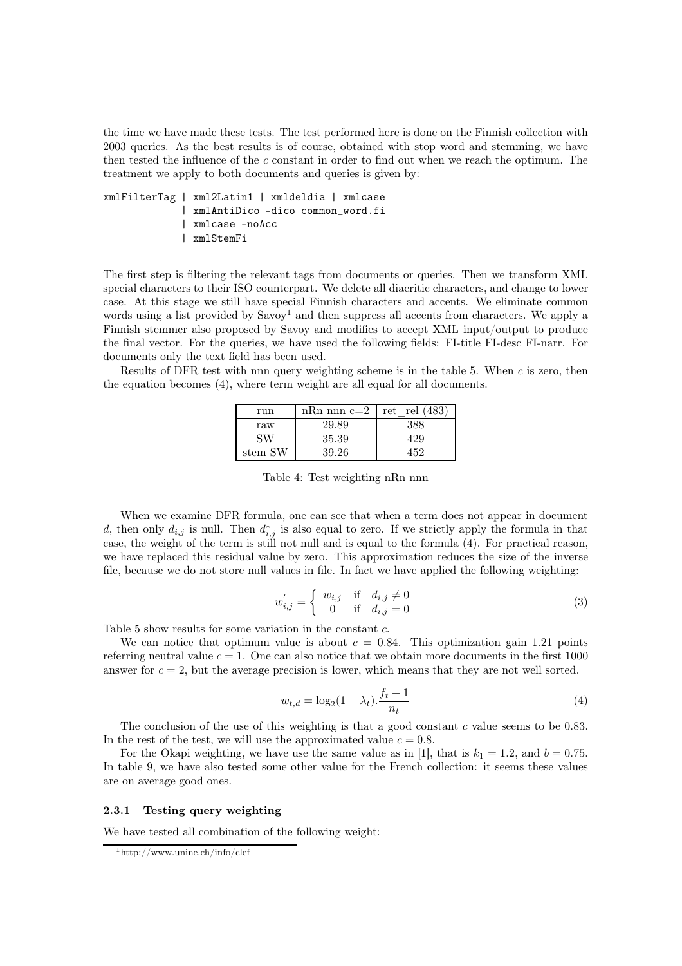the time we have made these tests. The test performed here is done on the Finnish collection with 2003 queries. As the best results is of course, obtained with stop word and stemming, we have then tested the influence of the c constant in order to find out when we reach the optimum. The treatment we apply to both documents and queries is given by:

```
xmlFilterTag | xml2Latin1 | xmldeldia | xmlcase
 | xmlAntiDico -dico common_word.fi
 | xmlcase -noAcc
 | xmlStemFi
```
The first step is filtering the relevant tags from documents or queries. Then we transform XML special characters to their ISO counterpart. We delete all diacritic characters, and change to lower case. At this stage we still have special Finnish characters and accents. We eliminate common words using a list provided by  $Savov<sup>1</sup>$  and then suppress all accents from characters. We apply a Finnish stemmer also proposed by Savoy and modifies to accept XML input/output to produce the final vector. For the queries, we have used the following fields: FI-title FI-desc FI-narr. For documents only the text field has been used.

Results of DFR test with nnn query weighting scheme is in the table 5. When  $c$  is zero, then the equation becomes (4), where term weight are all equal for all documents.

| run     | nRn nnn c=2   ret rel $(483)$ |     |
|---------|-------------------------------|-----|
| raw     | 29.89                         | 388 |
| SW      | 35.39                         | 429 |
| stem SW | 39.26                         | 459 |

Table 4: Test weighting nRn nnn

When we examine DFR formula, one can see that when a term does not appear in document d, then only  $d_{i,j}$  is null. Then  $d_{i,j}^*$  is also equal to zero. If we strictly apply the formula in that case, the weight of the term is still not null and is equal to the formula (4). For practical reason, we have replaced this residual value by zero. This approximation reduces the size of the inverse file, because we do not store null values in file. In fact we have applied the following weighting:

$$
w'_{i,j} = \begin{cases} w_{i,j} & \text{if } d_{i,j} \neq 0 \\ 0 & \text{if } d_{i,j} = 0 \end{cases}
$$
 (3)

Table 5 show results for some variation in the constant c.

We can notice that optimum value is about  $c = 0.84$ . This optimization gain 1.21 points referring neutral value  $c = 1$ . One can also notice that we obtain more documents in the first 1000 answer for  $c = 2$ , but the average precision is lower, which means that they are not well sorted.

$$
w_{t,d} = \log_2(1 + \lambda_t) \cdot \frac{f_t + 1}{n_t}
$$
\n(4)

The conclusion of the use of this weighting is that a good constant  $c$  value seems to be 0.83. In the rest of the test, we will use the approximated value  $c = 0.8$ .

For the Okapi weighting, we have use the same value as in [1], that is  $k_1 = 1.2$ , and  $b = 0.75$ . In table 9, we have also tested some other value for the French collection: it seems these values are on average good ones.

#### 2.3.1 Testing query weighting

We have tested all combination of the following weight:

<sup>1</sup>http://www.unine.ch/info/clef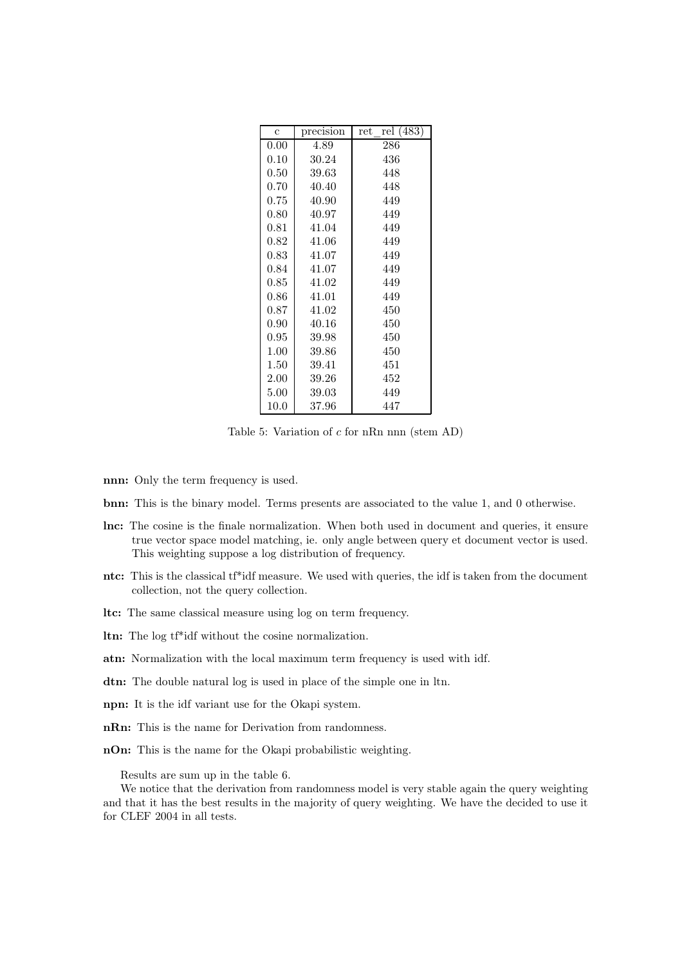| $\overline{c}$ | precision | rel (483)<br>$_{\rm ret}$ |
|----------------|-----------|---------------------------|
| 0.00           | 4.89      | 286                       |
| 0.10           | 30.24     | 436                       |
| 0.50           | 39.63     | 448                       |
| 0.70           | 40.40     | 448                       |
| 0.75           | 40.90     | 449                       |
| 0.80           | 40.97     | 449                       |
| 0.81           | 41.04     | 449                       |
| 0.82           | 41.06     | 449                       |
| 0.83           | 41.07     | 449                       |
| 0.84           | 41.07     | 449                       |
| 0.85           | 41.02     | 449                       |
| 0.86           | 41.01     | 449                       |
| 0.87           | 41.02     | 450                       |
| 0.90           | 40.16     | 450                       |
| 0.95           | 39.98     | 450                       |
| 1.00           | 39.86     | 450                       |
| 1.50           | 39.41     | 451                       |
| 2.00           | 39.26     | 452                       |
| 5.00           | 39.03     | 449                       |
| 10.0           | 37.96     | 447                       |

Table 5: Variation of c for nRn nnn (stem AD)

- nnn: Only the term frequency is used.
- bnn: This is the binary model. Terms presents are associated to the value 1, and 0 otherwise.
- lnc: The cosine is the finale normalization. When both used in document and queries, it ensure true vector space model matching, ie. only angle between query et document vector is used. This weighting suppose a log distribution of frequency.
- ntc: This is the classical tf\*idf measure. We used with queries, the idf is taken from the document collection, not the query collection.
- ltc: The same classical measure using log on term frequency.
- ltn: The log tf\*idf without the cosine normalization.
- atn: Normalization with the local maximum term frequency is used with idf.
- dtn: The double natural log is used in place of the simple one in ltn.
- npn: It is the idf variant use for the Okapi system.
- nRn: This is the name for Derivation from randomness.
- nOn: This is the name for the Okapi probabilistic weighting.

Results are sum up in the table 6.

We notice that the derivation from randomness model is very stable again the query weighting and that it has the best results in the majority of query weighting. We have the decided to use it for CLEF 2004 in all tests.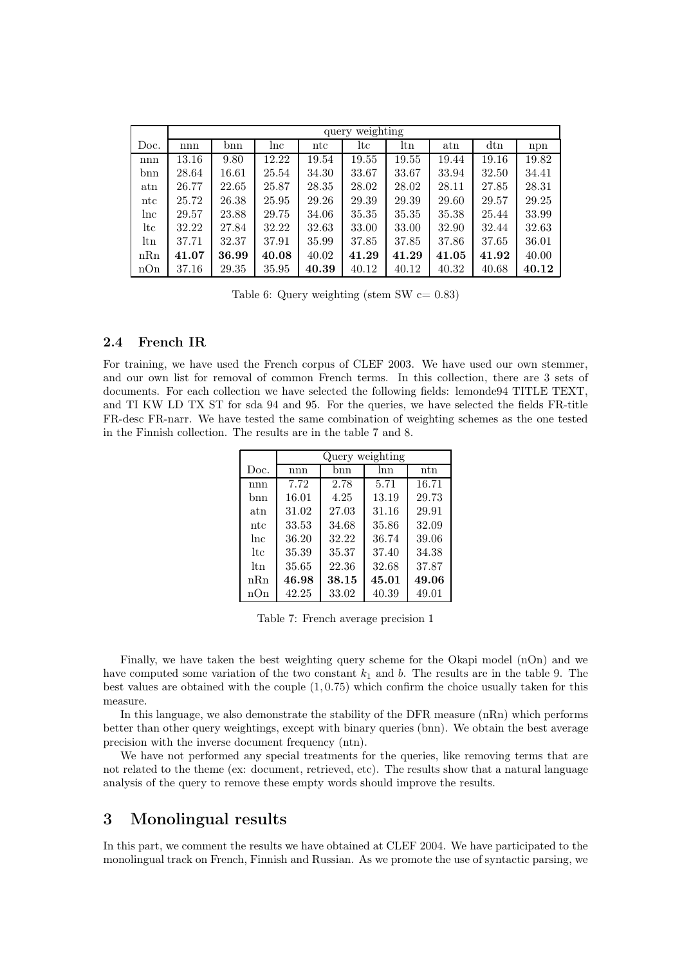|              | query weighting |       |       |              |       |                 |       |              |       |
|--------------|-----------------|-------|-------|--------------|-------|-----------------|-------|--------------|-------|
| Doc.         | $_{\rm nnn}$    | bnn   | lnc   | $_{\rm ntc}$ | ltc   | $_{\text{ltn}}$ | atn   | $_{\rm dtn}$ | npn   |
| $_{\rm nnn}$ | 13.16           | 9.80  | 12.22 | 19.54        | 19.55 | 19.55           | 19.44 | 19.16        | 19.82 |
| bnn          | 28.64           | 16.61 | 25.54 | 34.30        | 33.67 | 33.67           | 33.94 | 32.50        | 34.41 |
| $_{\rm atm}$ | 26.77           | 22.65 | 25.87 | 28.35        | 28.02 | 28.02           | 28.11 | 27.85        | 28.31 |
| $_{\rm ntc}$ | 25.72           | 26.38 | 25.95 | 29.26        | 29.39 | 29.39           | 29.60 | 29.57        | 29.25 |
| lnc          | 29.57           | 23.88 | 29.75 | 34.06        | 35.35 | 35.35           | 35.38 | 25.44        | 33.99 |
| ltc          | 32.22           | 27.84 | 32.22 | 32.63        | 33.00 | 33.00           | 32.90 | 32.44        | 32.63 |
| ltn          | 37.71           | 32.37 | 37.91 | 35.99        | 37.85 | 37.85           | 37.86 | 37.65        | 36.01 |
| nRn          | 41.07           | 36.99 | 40.08 | 40.02        | 41.29 | 41.29           | 41.05 | 41.92        | 40.00 |
| nOn          | 37.16           | 29.35 | 35.95 | 40.39        | 40.12 | 40.12           | 40.32 | 40.68        | 40.12 |

Table 6: Query weighting (stem SW  $c = 0.83$ )

### 2.4 French IR

For training, we have used the French corpus of CLEF 2003. We have used our own stemmer, and our own list for removal of common French terms. In this collection, there are 3 sets of documents. For each collection we have selected the following fields: lemonde94 TITLE TEXT, and TI KW LD TX ST for sda 94 and 95. For the queries, we have selected the fields FR-title FR-desc FR-narr. We have tested the same combination of weighting schemes as the one tested in the Finnish collection. The results are in the table 7 and 8.

|      | Query weighting |       |       |       |  |
|------|-----------------|-------|-------|-------|--|
| Doc. | nnn             | bnn   | Inn   | ntn   |  |
| nnn  | 7.72            | 2.78  | 5.71  | 16.71 |  |
| hnn  | 16.01           | 4.25  | 13.19 | 29.73 |  |
| atn  | 31.02           | 27.03 | 31.16 | 29.91 |  |
| ntc  | 33.53           | 34.68 | 35.86 | 32.09 |  |
| lnc  | 36.20           | 32.22 | 36.74 | 39.06 |  |
| ltc  | 35.39           | 35.37 | 37.40 | 34.38 |  |
| ltn  | 35.65           | 22.36 | 32.68 | 37.87 |  |
| nRn  | 46.98           | 38.15 | 45.01 | 49.06 |  |
| nOn  | 42.25           | 33.02 | 40.39 | 49.01 |  |

Table 7: French average precision 1

Finally, we have taken the best weighting query scheme for the Okapi model (nOn) and we have computed some variation of the two constant  $k_1$  and b. The results are in the table 9. The best values are obtained with the couple (1, 0.75) which confirm the choice usually taken for this measure.

In this language, we also demonstrate the stability of the DFR measure (nRn) which performs better than other query weightings, except with binary queries (bnn). We obtain the best average precision with the inverse document frequency (ntn).

We have not performed any special treatments for the queries, like removing terms that are not related to the theme (ex: document, retrieved, etc). The results show that a natural language analysis of the query to remove these empty words should improve the results.

# 3 Monolingual results

In this part, we comment the results we have obtained at CLEF 2004. We have participated to the monolingual track on French, Finnish and Russian. As we promote the use of syntactic parsing, we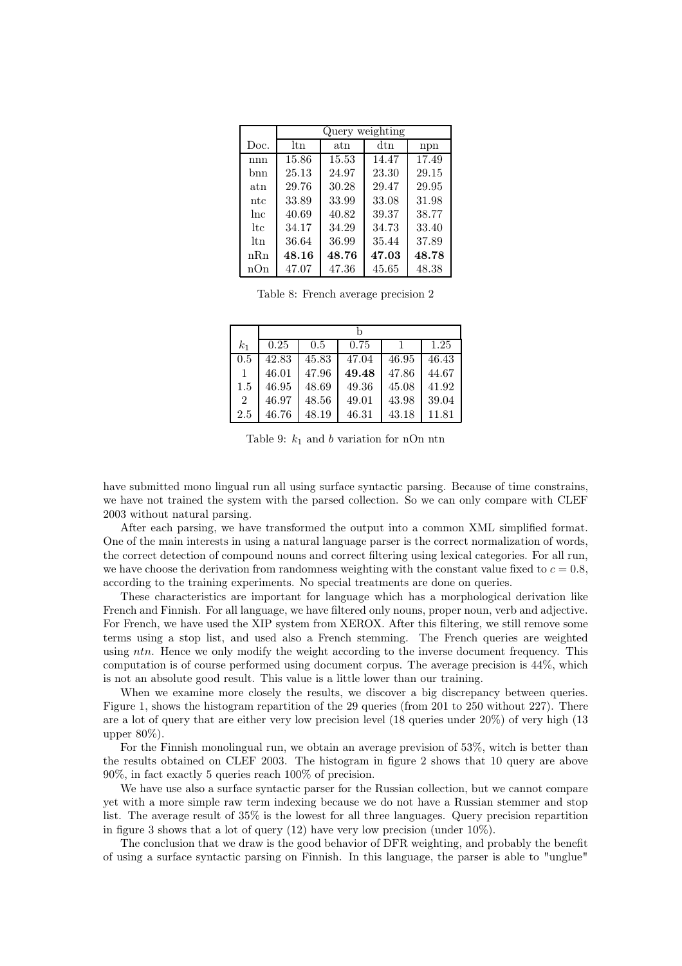|                | Query weighting |       |       |       |  |
|----------------|-----------------|-------|-------|-------|--|
| Doc.           | ltn             | atn   | dtn   | npn   |  |
| nnn            | 15.86           | 15.53 | 14.47 | 17.49 |  |
| bnn            | 25.13           | 24.97 | 23.30 | 29.15 |  |
| atn            | 29.76           | 30.28 | 29.47 | 29.95 |  |
| ntc            | 33.89           | 33.99 | 33.08 | 31.98 |  |
| <sub>lnc</sub> | 40.69           | 40.82 | 39.37 | 38.77 |  |
| lt.c           | 34.17           | 34.29 | 34.73 | 33.40 |  |
| ltn            | 36.64           | 36.99 | 35.44 | 37.89 |  |
| nRn            | 48.16           | 48.76 | 47.03 | 48.78 |  |
| nOn            | 47.07           | 47.36 | 45.65 | 48.38 |  |

Table 8: French average precision 2

| $k_{1}$        | 0.25  | 0.5   | 0.75  |       | 1.25  |
|----------------|-------|-------|-------|-------|-------|
| 0.5            | 42.83 | 45.83 | 47.04 | 46.95 | 46.43 |
|                | 46.01 | 47.96 | 49.48 | 47.86 | 44.67 |
| 1.5            | 46.95 | 48.69 | 49.36 | 45.08 | 41.92 |
| $\overline{2}$ | 46.97 | 48.56 | 49.01 | 43.98 | 39.04 |
| 2.5            | 46.76 | 48.19 | 46.31 | 43.18 | 11.81 |

Table 9:  $k_1$  and b variation for nOn ntn

have submitted mono lingual run all using surface syntactic parsing. Because of time constrains, we have not trained the system with the parsed collection. So we can only compare with CLEF 2003 without natural parsing.

After each parsing, we have transformed the output into a common XML simplified format. One of the main interests in using a natural language parser is the correct normalization of words, the correct detection of compound nouns and correct filtering using lexical categories. For all run, we have choose the derivation from randomness weighting with the constant value fixed to  $c = 0.8$ , according to the training experiments. No special treatments are done on queries.

These characteristics are important for language which has a morphological derivation like French and Finnish. For all language, we have filtered only nouns, proper noun, verb and adjective. For French, we have used the XIP system from XEROX. After this filtering, we still remove some terms using a stop list, and used also a French stemming. The French queries are weighted using ntn. Hence we only modify the weight according to the inverse document frequency. This computation is of course performed using document corpus. The average precision is 44%, which is not an absolute good result. This value is a little lower than our training.

When we examine more closely the results, we discover a big discrepancy between queries. Figure 1, shows the histogram repartition of the 29 queries (from 201 to 250 without 227). There are a lot of query that are either very low precision level (18 queries under 20%) of very high (13 upper 80%).

For the Finnish monolingual run, we obtain an average prevision of 53%, witch is better than the results obtained on CLEF 2003. The histogram in figure 2 shows that 10 query are above 90%, in fact exactly 5 queries reach 100% of precision.

We have use also a surface syntactic parser for the Russian collection, but we cannot compare yet with a more simple raw term indexing because we do not have a Russian stemmer and stop list. The average result of 35% is the lowest for all three languages. Query precision repartition in figure 3 shows that a lot of query (12) have very low precision (under 10%).

The conclusion that we draw is the good behavior of DFR weighting, and probably the benefit of using a surface syntactic parsing on Finnish. In this language, the parser is able to "unglue"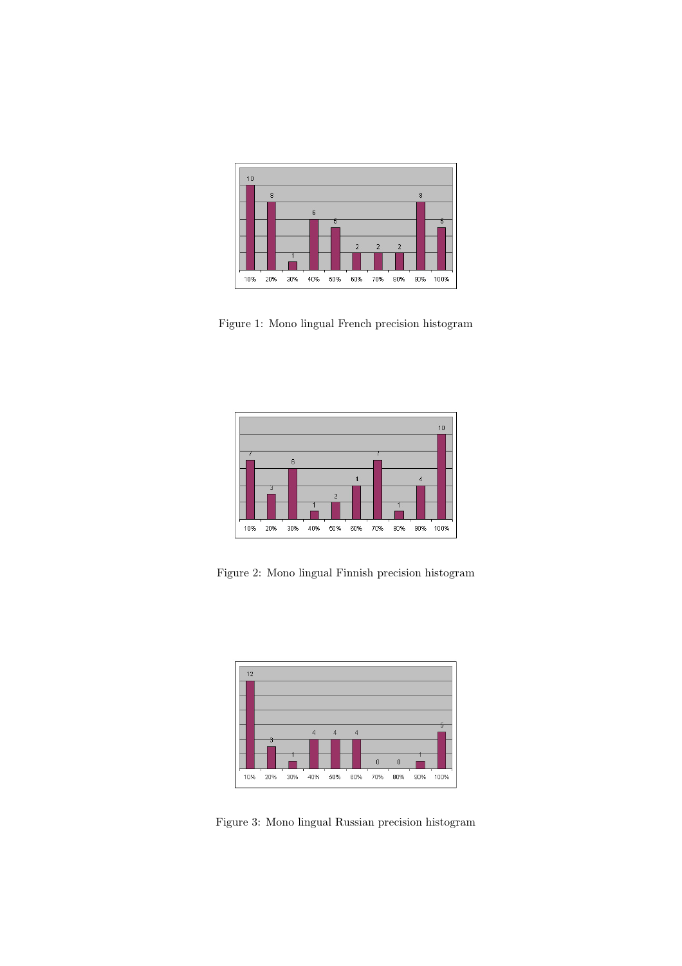

Figure 1: Mono lingual French precision histogram



Figure 2: Mono lingual Finnish precision histogram



Figure 3: Mono lingual Russian precision histogram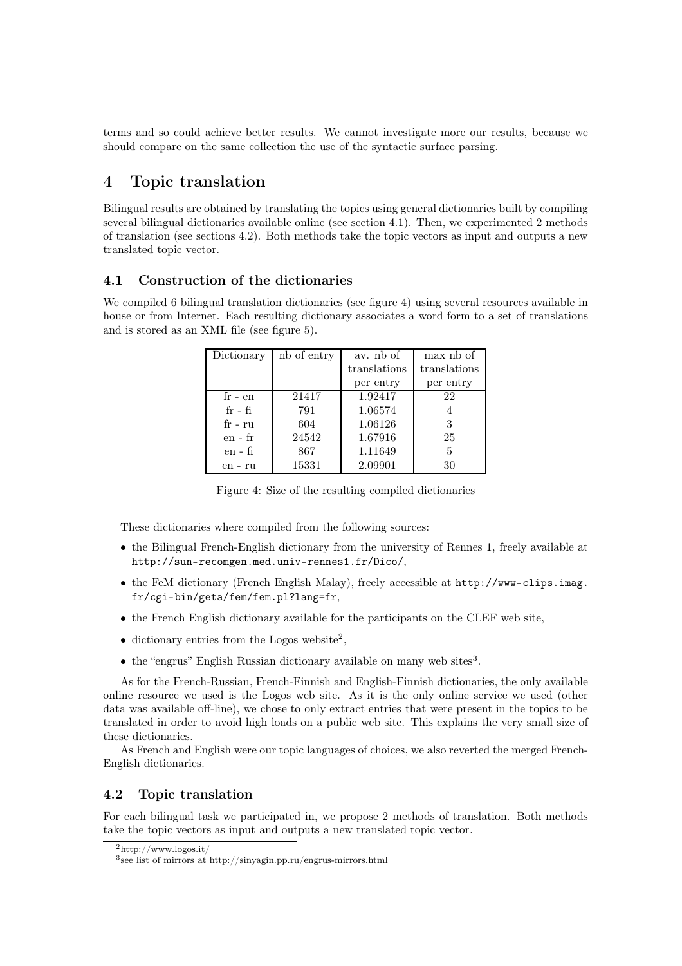terms and so could achieve better results. We cannot investigate more our results, because we should compare on the same collection the use of the syntactic surface parsing.

# 4 Topic translation

Bilingual results are obtained by translating the topics using general dictionaries built by compiling several bilingual dictionaries available online (see section 4.1). Then, we experimented 2 methods of translation (see sections 4.2). Both methods take the topic vectors as input and outputs a new translated topic vector.

### 4.1 Construction of the dictionaries

We compiled 6 bilingual translation dictionaries (see figure 4) using several resources available in house or from Internet. Each resulting dictionary associates a word form to a set of translations and is stored as an XML file (see figure 5).

| Dictionary | nb of entry | av. nb of    | max nb of    |
|------------|-------------|--------------|--------------|
|            |             | translations | translations |
|            |             | per entry    | per entry    |
| $fr - en$  | 21417       | 1.92417      | 22           |
| $fr - fi$  | 791         | 1.06574      |              |
| $fr - ru$  | 604         | 1.06126      | 3            |
| $en - fr$  | 24542       | 1.67916      | 25           |
| en - fi    | 867         | 1.11649      | 5            |
| en - ru    | 15331       | 2.09901      | 30           |

Figure 4: Size of the resulting compiled dictionaries

These dictionaries where compiled from the following sources:

- the Bilingual French-English dictionary from the university of Rennes 1, freely available at http://sun-recomgen.med.univ-rennes1.fr/Dico/,
- the FeM dictionary (French English Malay), freely accessible at http://www-clips.imag. fr/cgi-bin/geta/fem/fem.pl?lang=fr,
- the French English dictionary available for the participants on the CLEF web site,
- dictionary entries from the Logos website<sup>2</sup>,
- the "engrus" English Russian dictionary available on many web sites<sup>3</sup>.

As for the French-Russian, French-Finnish and English-Finnish dictionaries, the only available online resource we used is the Logos web site. As it is the only online service we used (other data was available off-line), we chose to only extract entries that were present in the topics to be translated in order to avoid high loads on a public web site. This explains the very small size of these dictionaries.

As French and English were our topic languages of choices, we also reverted the merged French-English dictionaries.

### 4.2 Topic translation

For each bilingual task we participated in, we propose 2 methods of translation. Both methods take the topic vectors as input and outputs a new translated topic vector.

 $^{2}$ http://www.logos.it/

<sup>3</sup>see list of mirrors at http://sinyagin.pp.ru/engrus-mirrors.html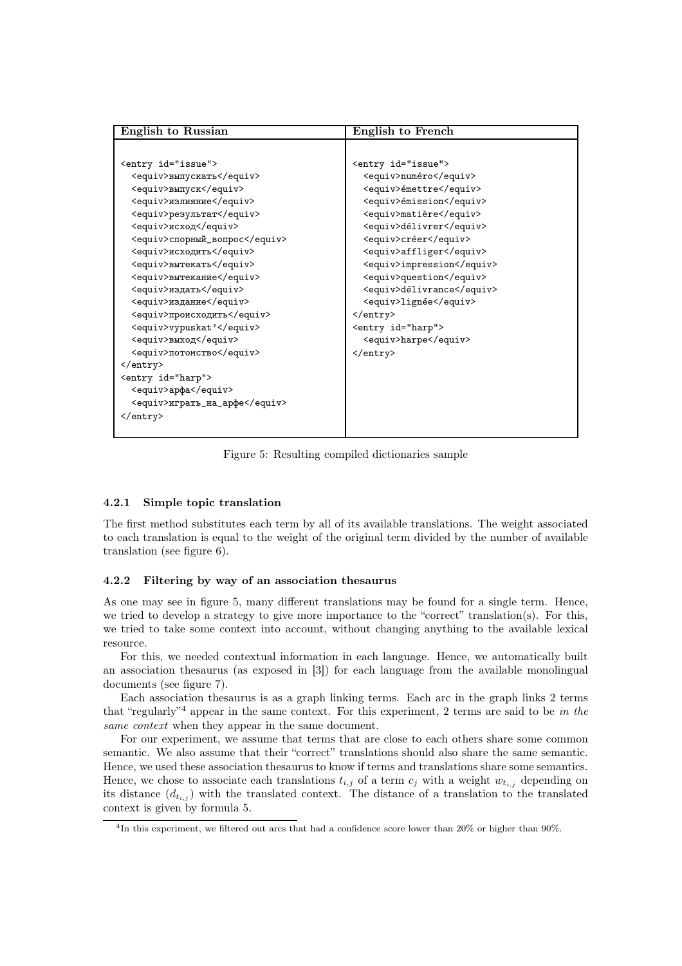| <b>English to Russian</b>     | English to French          |
|-------------------------------|----------------------------|
|                               |                            |
| <entry id="issue"></entry>    | <entry id="issue"></entry> |
| <equiv>выпускать</equiv>      | <equiv>numéro</equiv>      |
| <equiv>выпуск</equiv>         | <equiv>émettre</equiv>     |
| <equiv>излияние</equiv>       | <equiv>émission</equiv>    |
| <equiv>результат</equiv>      | <equiv>matière</equiv>     |
| <equiv>исход</equiv>          | <equiv>délivrer</equiv>    |
| <equiv>спорный_вопрос</equiv> | <equiv>créer</equiv>       |
| <equiv>исходить</equiv>       | <equiv>affliger</equiv>    |
| <equiv>вытекать</equiv>       | <equiv>impression</equiv>  |
| <equiv>вытекание</equiv>      | <equiv>question</equiv>    |
| <equiv>издать</equiv>         | <equiv>délivrance</equiv>  |
| <equiv>издание</equiv>        | <equiv>lignée</equiv>      |
| <equiv>происходить</equiv>    | $\langle$ /entry>          |
| <equiv>vypuskat'</equiv>      | <entry id="harp"></entry>  |
| <equiv>выход</equiv>          | <equiv>harpe</equiv>       |
| <equiv>потомство</equiv>      |                            |
| $\langle$ /entry>             |                            |
| <entry id="harp"></entry>     |                            |
| <equiv>apфa</equiv>           |                            |
| <equiv>urparь_на_apфe</equiv> |                            |
|                               |                            |
|                               |                            |

Figure 5: Resulting compiled dictionaries sample

#### 4.2.1 Simple topic translation

The first method substitutes each term by all of its available translations. The weight associated to each translation is equal to the weight of the original term divided by the number of available translation (see figure 6).

#### 4.2.2 Filtering by way of an association thesaurus

As one may see in figure 5, many different translations may be found for a single term. Hence, we tried to develop a strategy to give more importance to the "correct" translation(s). For this, we tried to take some context into account, without changing anything to the available lexical resource.

For this, we needed contextual information in each language. Hence, we automatically built an association thesaurus (as exposed in [3]) for each language from the available monolingual documents (see figure 7).

Each association thesaurus is as a graph linking terms. Each arc in the graph links 2 terms that "regularly"<sup>4</sup> appear in the same context. For this experiment, 2 terms are said to be *in the same context* when they appear in the same document.

For our experiment, we assume that terms that are close to each others share some common semantic. We also assume that their "correct" translations should also share the same semantic. Hence, we used these association thesaurus to know if terms and translations share some semantics. Hence, we chose to associate each translations  $t_{i,j}$  of a term  $c_j$  with a weight  $w_{t_{i,j}}$  depending on its distance  $(d_{t_{i,j}})$  with the translated context. The distance of a translation to the translated context is given by formula 5.

<sup>4</sup>In this experiment, we filtered out arcs that had a confidence score lower than 20% or higher than 90%.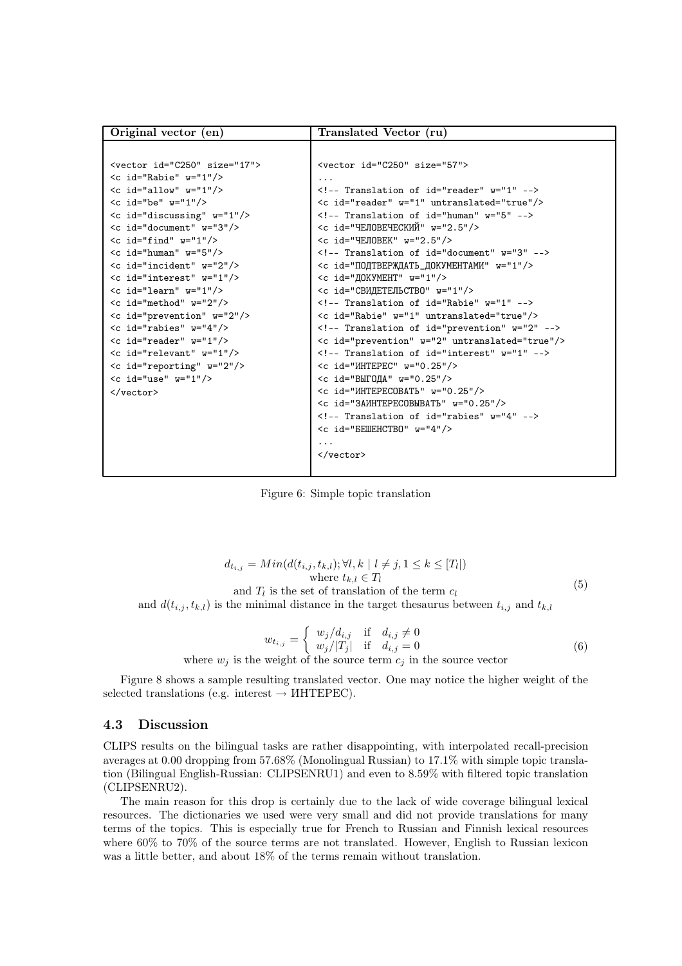| Original vector (en)                                  | Translated Vector (ru)                                |
|-------------------------------------------------------|-------------------------------------------------------|
|                                                       |                                                       |
| <vector id="C250" size="17"></vector>                 | <vector id="C250" size="57"></vector>                 |
| $\lt c$ id="Rabie" $w=$ "1"/>                         |                                                       |
| $\lt c$ id="allow" $w=$ "1"/>                         | $\langle$ !-- Translation of id="reader" $w=$ "1" --> |
| $\lt c$ id="be" $w=$ "1"/>                            | <c id="reader" untranslated="true" w="1"></c>         |
| $\langle$ c id="discussing" $w=$ "1"/>                | $\langle$ !-- Translation of id="human" $w=$ "5" -->  |
| $\langle c \text{ id} = "document" w = "3" / \rangle$ | <c id="ЧЕЛОВЕЧЕСКИЙ" w="2.5"></c>                     |
| $\lt c$ id="find" $w=$ "1"/>                          | $\lt c$ id="YEJOBEK" $w=$ "2.5"/>                     |
| $\lt c$ id="human" $w=$ "5"/>                         | Translation of id="document" w="3"                    |
| $\lt c$ id="incident" $w=$ "2"/>                      | <c id="ПОДТВЕРЖДАТЬ_ДОКУМЕНТАМИ" w="1"></c>           |
| $\lt c$ id="interest" $w=$ "1"/>                      | $\lt c$ id=" $\texttt{IOKVMEHT" w="1"}/>$             |
| $\lt c$ id="learn" $w=$ "1"/>                         | <c id="СВИДЕТЕЛЬСТВО" w="1"></c>                      |
| $\lt c$ id="method" $w=$ "2"/>                        | Translation of id="Rabie" w="1"                       |
| $\lt c$ id="prevention" $w=$ "2"/>                    | <c id="Rabie" untranslated="true" w="1"></c>          |
| $\lt c$ id="rabies" $w=$ "4"/>                        | Translation of id="prevention" w="2"                  |
| $\lt c$ id="reader" $w=$ "1"/>                        | <c id="prevention" untranslated="true" w="2"></c>     |
| $\lt c$ id="relevant" $w=$ "1"/>                      | Translation of id="interest" w="1"                    |
| <c id="reporting" w="2"></c>                          | $\leq$ id="MHTEPEC" $w=$ "0.25"/>                     |
| $\langle c \text{ id} = "use" w = "1" / \rangle$      | <c id="ВЫГОДА" w="0.25"></c>                          |
| $\langle$ /vector>                                    | $\leq$ id="MHTEPECOBATL" $w=$ "0.25"/>                |
|                                                       | <c id="3AMHTEPECOBMBATb" w="0.25"></c>                |
|                                                       | Translation of id="rabies" w="4"                      |
|                                                       | $\lt c$ id=" $BEIIEHCTBO" w="4"$                      |
|                                                       | .                                                     |
|                                                       | $\langle$ /vector>                                    |
|                                                       |                                                       |

Figure 6: Simple topic translation

$$
d_{t_{i,j}} = Min(d(t_{i,j}, t_{k,l}); \forall l, k \mid l \neq j, 1 \leq k \leq [T_l])
$$
  
where  $t_{k,l} \in T_l$   
and  $T_l$  is the set of translation of the term  $c_l$   
and  $d(t_{i,j}, t_{k,l})$  is the minimal distance in the target thesaurus between  $t_{i,j}$  and  $t_{k,l}$  (5)

$$
w_{t_{i,j}} = \begin{cases} w_j/d_{i,j} & \text{if } d_{i,j} \neq 0\\ w_j/|T_j| & \text{if } d_{i,j} = 0 \end{cases}
$$
 (6)

where  $w_j$  is the weight of the source term  $c_j$  in the source vector

Figure 8 shows a sample resulting translated vector. One may notice the higher weight of the selected translations (e.g. interest  $\rightarrow$  *HHTEPEC*).

### 4.3 Discussion

CLIPS results on the bilingual tasks are rather disappointing, with interpolated recall-precision averages at 0.00 dropping from 57.68% (Monolingual Russian) to 17.1% with simple topic translation (Bilingual English-Russian: CLIPSENRU1) and even to 8.59% with filtered topic translation (CLIPSENRU2).

The main reason for this drop is certainly due to the lack of wide coverage bilingual lexical resources. The dictionaries we used were very small and did not provide translations for many terms of the topics. This is especially true for French to Russian and Finnish lexical resources where 60% to 70% of the source terms are not translated. However, English to Russian lexicon was a little better, and about  $18\%$  of the terms remain without translation.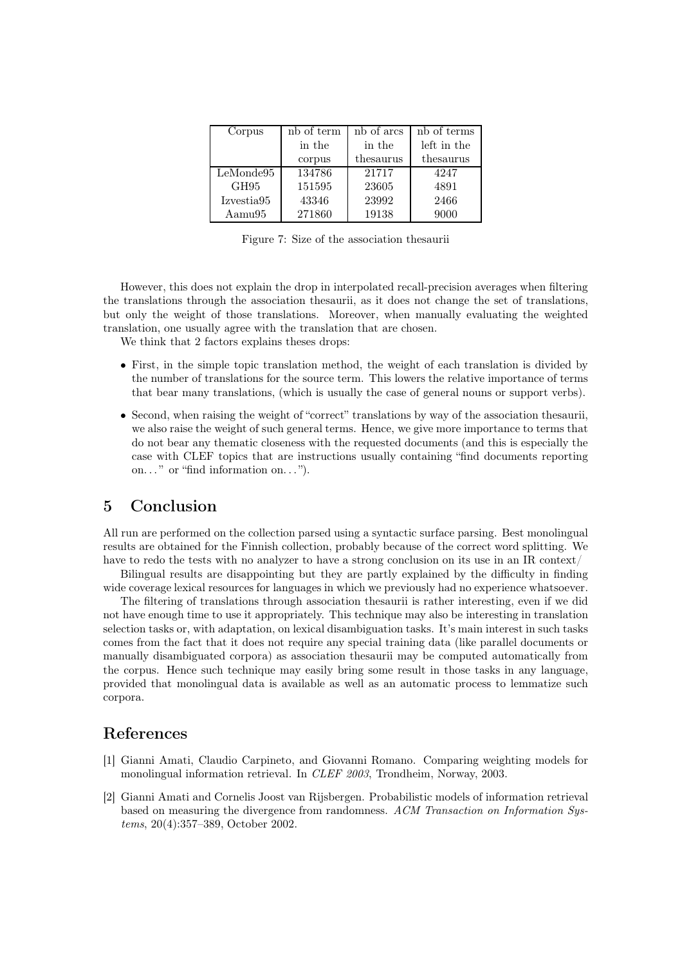| Corpus     | nb of term | nb of arcs | nb of terms |
|------------|------------|------------|-------------|
|            | in the     | in the     | left in the |
|            | corpus     | thesaurus  | thesaurus   |
| LeMonde95  | 134786     | 21717      | 4247        |
| GH95       | 151595     | 23605      | 4891        |
| Izvestia95 | 43346      | 23992      | 2466        |
| Aamu95     | 271860     | 19138      | 9000        |

Figure 7: Size of the association thesaurii

However, this does not explain the drop in interpolated recall-precision averages when filtering the translations through the association thesaurii, as it does not change the set of translations, but only the weight of those translations. Moreover, when manually evaluating the weighted translation, one usually agree with the translation that are chosen.

We think that 2 factors explains theses drops:

- First, in the simple topic translation method, the weight of each translation is divided by the number of translations for the source term. This lowers the relative importance of terms that bear many translations, (which is usually the case of general nouns or support verbs).
- Second, when raising the weight of "correct" translations by way of the association thesaurii, we also raise the weight of such general terms. Hence, we give more importance to terms that do not bear any thematic closeness with the requested documents (and this is especially the case with CLEF topics that are instructions usually containing "find documents reporting on..." or "find information on...").

# 5 Conclusion

All run are performed on the collection parsed using a syntactic surface parsing. Best monolingual results are obtained for the Finnish collection, probably because of the correct word splitting. We have to redo the tests with no analyzer to have a strong conclusion on its use in an IR context/

Bilingual results are disappointing but they are partly explained by the difficulty in finding wide coverage lexical resources for languages in which we previously had no experience whatsoever.

The filtering of translations through association thesaurii is rather interesting, even if we did not have enough time to use it appropriately. This technique may also be interesting in translation selection tasks or, with adaptation, on lexical disambiguation tasks. It's main interest in such tasks comes from the fact that it does not require any special training data (like parallel documents or manually disambiguated corpora) as association thesaurii may be computed automatically from the corpus. Hence such technique may easily bring some result in those tasks in any language, provided that monolingual data is available as well as an automatic process to lemmatize such corpora.

## References

- [1] Gianni Amati, Claudio Carpineto, and Giovanni Romano. Comparing weighting models for monolingual information retrieval. In *CLEF 2003*, Trondheim, Norway, 2003.
- [2] Gianni Amati and Cornelis Joost van Rijsbergen. Probabilistic models of information retrieval based on measuring the divergence from randomness. *ACM Transaction on Information Systems*, 20(4):357–389, October 2002.